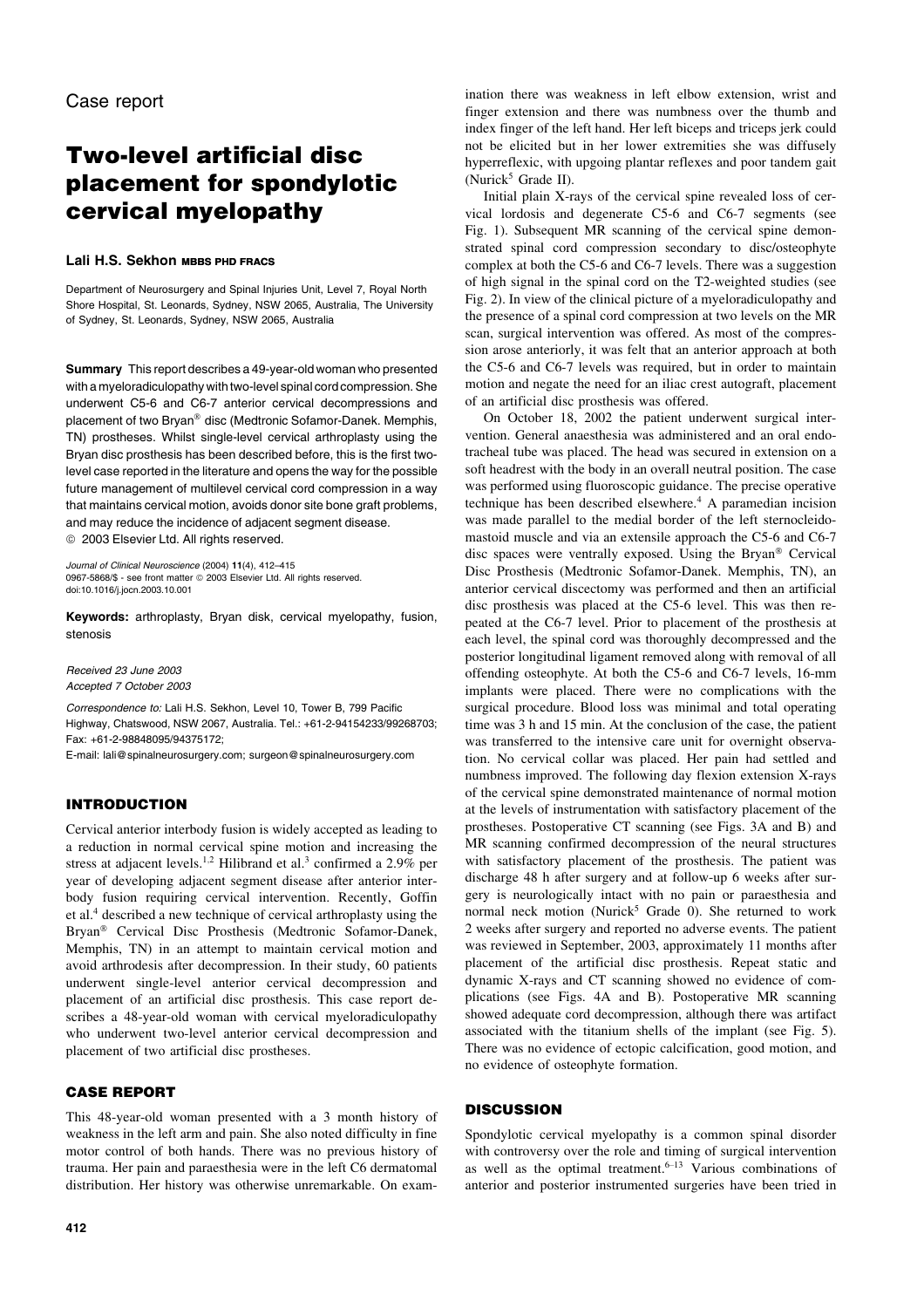# Two-level artificial disc placement for spondylotic cervical myelopathy

## Lali H.S. Sekhon MBBS PHD FRACS

Department of Neurosurgery and Spinal Injuries Unit, Level 7, Royal North Shore Hospital, St. Leonards, Sydney, NSW 2065, Australia, The University of Sydney, St. Leonards, Sydney, NSW 2065, Australia

Summary This report describes a 49-year-old woman who presented with a myeloradiculopathy with two-level spinal cord compression. She underwent C5-6 and C6-7 anterior cervical decompressions and placement of two Bryan<sup>®</sup> disc (Medtronic Sofamor-Danek. Memphis, TN) prostheses. Whilst single-level cervical arthroplasty using the Bryan disc prosthesis has been described before, this is the first twolevel case reported in the literature and opens the way for the possible future management of multilevel cervical cord compression in a way that maintains cervical motion, avoids donor site bone graft problems, and may reduce the incidence of adjacent segment disease. <sup>©</sup> 2003 Elsevier Ltd. All rights reserved.

Journal of Clinical Neuroscience (2004) 11(4), 412–415 0967-5868/\$ - see front matter @ 2003 Elsevier Ltd. All rights reserved. doi:10.1016/j.jocn.2003.10.001

Keywords: arthroplasty, Bryan disk, cervical myelopathy, fusion, stenosis

Received 23 June 2003 Accepted 7 October 2003

Correspondence to: Lali H.S. Sekhon, Level 10, Tower B, 799 Pacific Highway, Chatswood, NSW 2067, Australia. Tel.: +61-2-94154233/99268703; Fax: +61-2-98848095/94375172;

E-mail: lali@spinalneurosurgery.com; surgeon@spinalneurosurgery.com

## INTRODUCTION

Cervical anterior interbody fusion is widely accepted as leading to a reduction in normal cervical spine motion and increasing the stress at adjacent levels.<sup>1,2</sup> Hilibrand et al.<sup>3</sup> confirmed a 2.9% per year of developing adjacent segment disease after anterior interbody fusion requiring cervical intervention. Recently, Goffin et al.<sup>4</sup> described a new technique of cervical arthroplasty using the Bryan<sup>®</sup> Cervical Disc Prosthesis (Medtronic Sofamor-Danek, Memphis, TN) in an attempt to maintain cervical motion and avoid arthrodesis after decompression. In their study, 60 patients underwent single-level anterior cervical decompression and placement of an artificial disc prosthesis. This case report describes a 48-year-old woman with cervical myeloradiculopathy who underwent two-level anterior cervical decompression and placement of two artificial disc prostheses.

## CASE REPORT

This 48-year-old woman presented with a 3 month history of weakness in the left arm and pain. She also noted difficulty in fine motor control of both hands. There was no previous history of trauma. Her pain and paraesthesia were in the left C6 dermatomal distribution. Her history was otherwise unremarkable. On examination there was weakness in left elbow extension, wrist and finger extension and there was numbness over the thumb and index finger of the left hand. Her left biceps and triceps jerk could not be elicited but in her lower extremities she was diffusely hyperreflexic, with upgoing plantar reflexes and poor tandem gait (Nurick<sup>5</sup> Grade II).

Initial plain X-rays of the cervical spine revealed loss of cervical lordosis and degenerate C5-6 and C6-7 segments (see Fig. 1). Subsequent MR scanning of the cervical spine demonstrated spinal cord compression secondary to disc/osteophyte complex at both the C5-6 and C6-7 levels. There was a suggestion of high signal in the spinal cord on the T2-weighted studies (see Fig. 2). In view of the clinical picture of a myeloradiculopathy and the presence of a spinal cord compression at two levels on the MR scan, surgical intervention was offered. As most of the compression arose anteriorly, it was felt that an anterior approach at both the C5-6 and C6-7 levels was required, but in order to maintain motion and negate the need for an iliac crest autograft, placement of an artificial disc prosthesis was offered.

On October 18, 2002 the patient underwent surgical intervention. General anaesthesia was administered and an oral endotracheal tube was placed. The head was secured in extension on a soft headrest with the body in an overall neutral position. The case was performed using fluoroscopic guidance. The precise operative technique has been described elsewhere.<sup>4</sup> A paramedian incision was made parallel to the medial border of the left sternocleidomastoid muscle and via an extensile approach the C5-6 and C6-7 disc spaces were ventrally exposed. Using the Bryan<sup>®</sup> Cervical Disc Prosthesis (Medtronic Sofamor-Danek. Memphis, TN), an anterior cervical discectomy was performed and then an artificial disc prosthesis was placed at the C5-6 level. This was then repeated at the C6-7 level. Prior to placement of the prosthesis at each level, the spinal cord was thoroughly decompressed and the posterior longitudinal ligament removed along with removal of all offending osteophyte. At both the C5-6 and C6-7 levels, 16-mm implants were placed. There were no complications with the surgical procedure. Blood loss was minimal and total operating time was 3 h and 15 min. At the conclusion of the case, the patient was transferred to the intensive care unit for overnight observation. No cervical collar was placed. Her pain had settled and numbness improved. The following day flexion extension X-rays of the cervical spine demonstrated maintenance of normal motion at the levels of instrumentation with satisfactory placement of the prostheses. Postoperative CT scanning (see Figs. 3A and B) and MR scanning confirmed decompression of the neural structures with satisfactory placement of the prosthesis. The patient was discharge 48 h after surgery and at follow-up 6 weeks after surgery is neurologically intact with no pain or paraesthesia and normal neck motion (Nurick<sup>5</sup> Grade 0). She returned to work 2 weeks after surgery and reported no adverse events. The patient was reviewed in September, 2003, approximately 11 months after placement of the artificial disc prosthesis. Repeat static and dynamic X-rays and CT scanning showed no evidence of complications (see Figs. 4A and B). Postoperative MR scanning showed adequate cord decompression, although there was artifact associated with the titanium shells of the implant (see Fig. 5). There was no evidence of ectopic calcification, good motion, and no evidence of osteophyte formation.

## **DISCUSSION**

Spondylotic cervical myelopathy is a common spinal disorder with controversy over the role and timing of surgical intervention as well as the optimal treatment. $6-13$  Various combinations of anterior and posterior instrumented surgeries have been tried in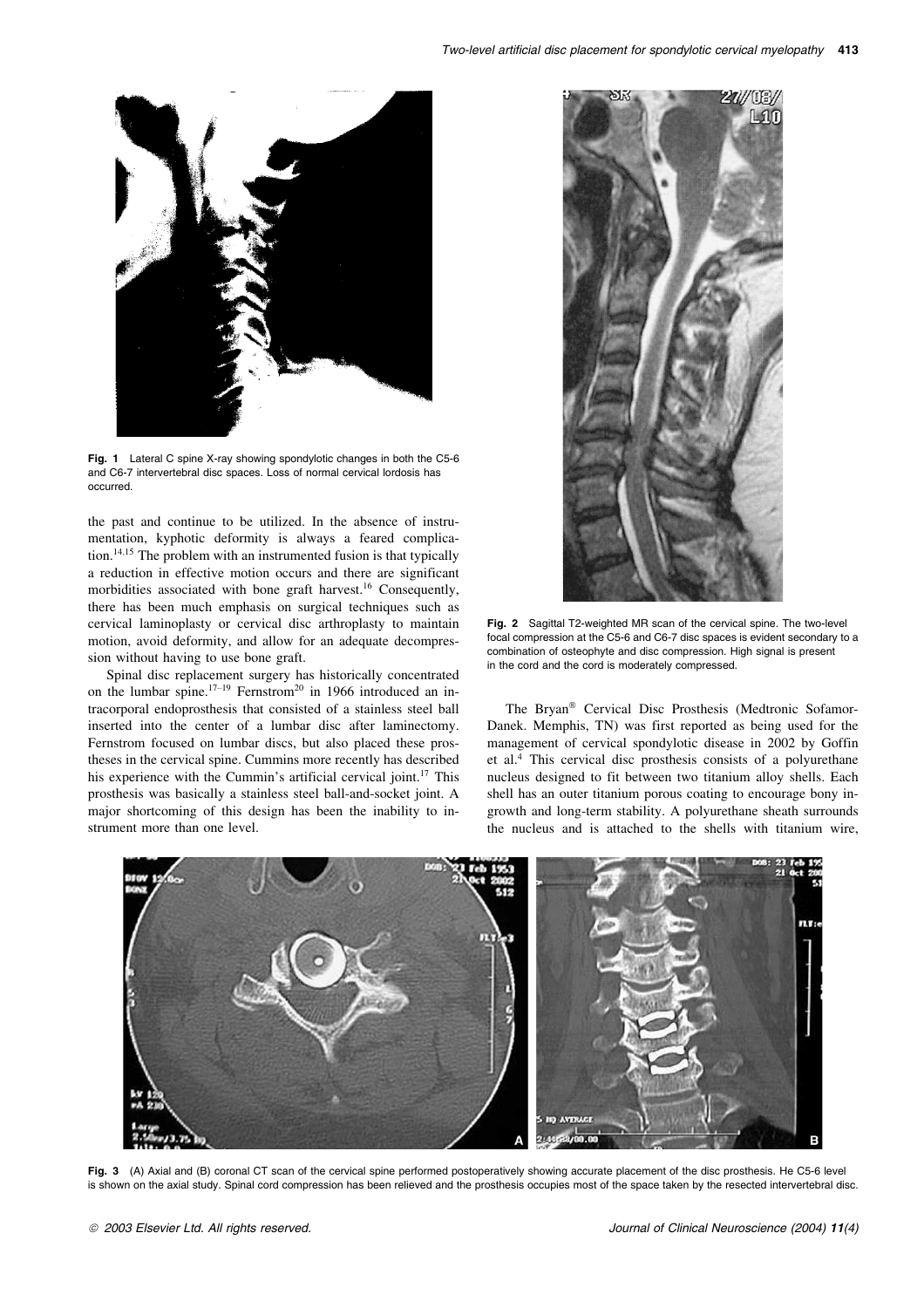

Fig. 1 Lateral C spine X-ray showing spondylotic changes in both the C5-6 and C6-7 intervertebral disc spaces. Loss of normal cervical lordosis has occurred.

the past and continue to be utilized. In the absence of instrumentation, kyphotic deformity is always a feared complication.<sup>14,15</sup> The problem with an instrumented fusion is that typically a reduction in effective motion occurs and there are significant morbidities associated with bone graft harvest.<sup>16</sup> Consequently, there has been much emphasis on surgical techniques such as cervical laminoplasty or cervical disc arthroplasty to maintain motion, avoid deformity, and allow for an adequate decompression without having to use bone graft.

Spinal disc replacement surgery has historically concentrated on the lumbar spine.<sup>17–19</sup> Fernstrom<sup>20</sup> in 1966 introduced an intracorporal endoprosthesis that consisted of a stainless steel ball inserted into the center of a lumbar disc after laminectomy. Fernstrom focused on lumbar discs, but also placed these prostheses in the cervical spine. Cummins more recently has described his experience with the Cummin's artificial cervical joint.<sup>17</sup> This prosthesis was basically a stainless steel ball-and-socket joint. A major shortcoming of this design has been the inability to instrument more than one level.



Fig. 2 Sagittal T2-weighted MR scan of the cervical spine. The two-level focal compression at the C5-6 and C6-7 disc spaces is evident secondary to a combination of osteophyte and disc compression. High signal is present in the cord and the cord is moderately compressed.

The Bryan<sup>®</sup> Cervical Disc Prosthesis (Medtronic Sofamor-Danek. Memphis, TN) was first reported as being used for the management of cervical spondylotic disease in 2002 by Goffin et al.<sup>4</sup> This cervical disc prosthesis consists of a polyurethane nucleus designed to fit between two titanium alloy shells. Each shell has an outer titanium porous coating to encourage bony ingrowth and long-term stability. A polyurethane sheath surrounds the nucleus and is attached to the shells with titanium wire,



Fig. 3 (A) Axial and (B) coronal CT scan of the cervical spine performed postoperatively showing accurate placement of the disc prosthesis. He C5-6 level is shown on the axial study. Spinal cord compression has been relieved and the prosthesis occupies most of the space taken by the resected intervertebral disc.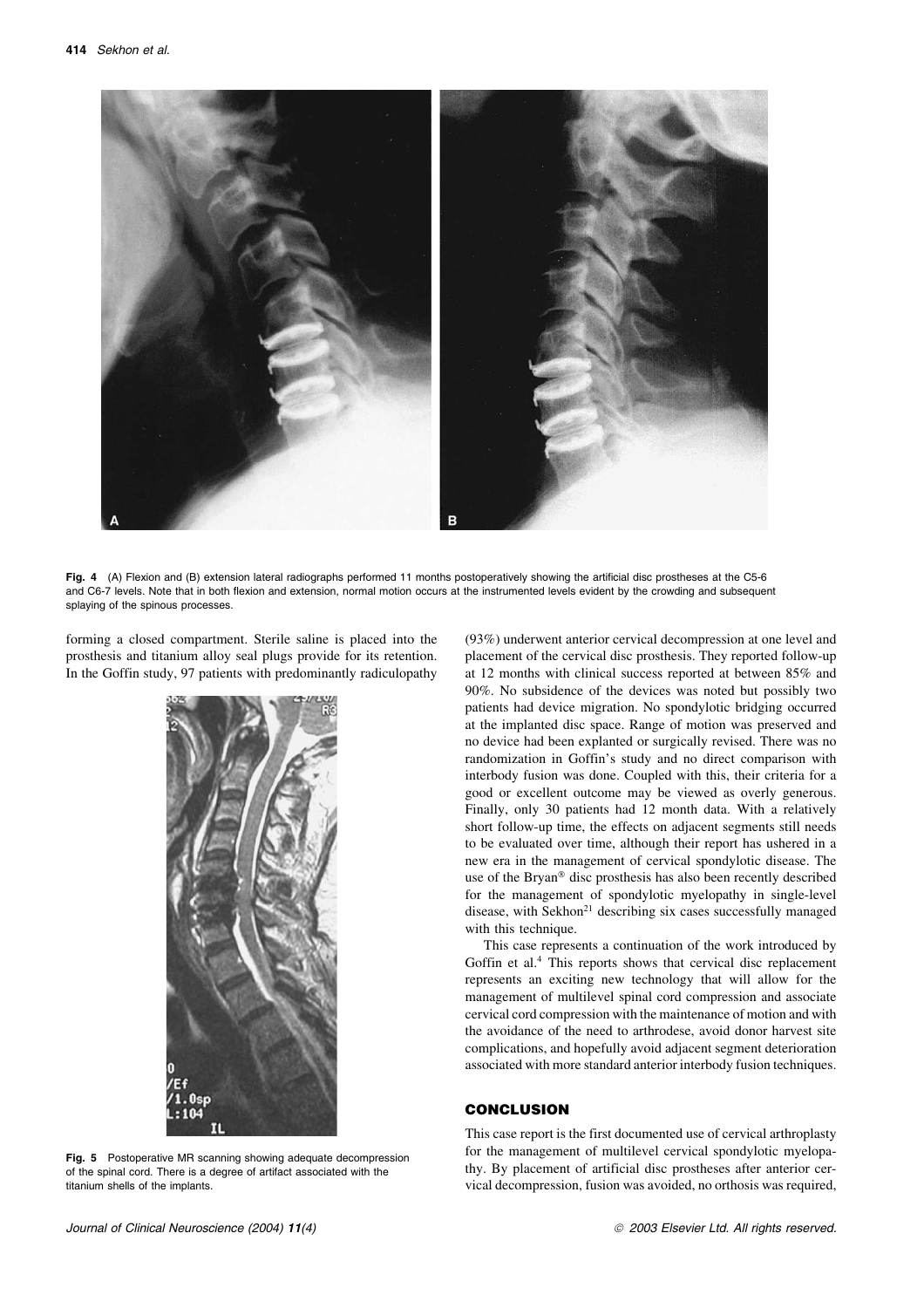

Fig. 4 (A) Flexion and (B) extension lateral radiographs performed 11 months postoperatively showing the artificial disc prostheses at the C5-6 and C6-7 levels. Note that in both flexion and extension, normal motion occurs at the instrumented levels evident by the crowding and subsequent splaying of the spinous processes.

forming a closed compartment. Sterile saline is placed into the prosthesis and titanium alloy seal plugs provide for its retention. In the Goffin study, 97 patients with predominantly radiculopathy



Fig. 5 Postoperative MR scanning showing adequate decompression of the spinal cord. There is a degree of artifact associated with the titanium shells of the implants.

(93%) underwent anterior cervical decompression at one level and placement of the cervical disc prosthesis. They reported follow-up at 12 months with clinical success reported at between 85% and 90%. No subsidence of the devices was noted but possibly two patients had device migration. No spondylotic bridging occurred at the implanted disc space. Range of motion was preserved and no device had been explanted or surgically revised. There was no randomization in Goffin's study and no direct comparison with interbody fusion was done. Coupled with this, their criteria for a good or excellent outcome may be viewed as overly generous. Finally, only 30 patients had 12 month data. With a relatively short follow-up time, the effects on adjacent segments still needs to be evaluated over time, although their report has ushered in a new era in the management of cervical spondylotic disease. The use of the Bryan<sup>®</sup> disc prosthesis has also been recently described for the management of spondylotic myelopathy in single-level disease, with Sekhon<sup>21</sup> describing six cases successfully managed with this technique.

This case represents a continuation of the work introduced by Goffin et al.<sup>4</sup> This reports shows that cervical disc replacement represents an exciting new technology that will allow for the management of multilevel spinal cord compression and associate cervical cord compression with the maintenance of motion and with the avoidance of the need to arthrodese, avoid donor harvest site complications, and hopefully avoid adjacent segment deterioration associated with more standard anterior interbody fusion techniques.

## **CONCLUSION**

This case report is the first documented use of cervical arthroplasty for the management of multilevel cervical spondylotic myelopathy. By placement of artificial disc prostheses after anterior cervical decompression, fusion was avoided, no orthosis was required,